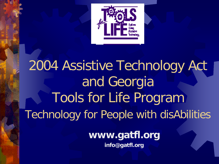

# 2004 Assistive Technology Act and Georgia Tools for Life Program Technology for People with disAbilities

**www.gatfl.org**

**info@gatfl.org**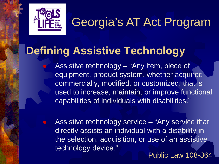

## **Defining Assistive Technology**

 Assistive technology – "Any item, piece of equipment, product system, whether acquired commercially, modified, or customized, that is used to increase, maintain, or improve functional capabilities of individuals with disabilities."

 Assistive technology service – "Any service that directly assists an individual with a disability in the selection, acquisition, or use of an assistive technology device."

Public Law 108-364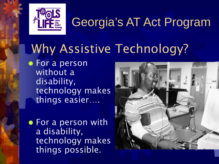

# Why Assistive Technology?

**\* For a person** without a disability, technology makes things easier….

For a person with a disability, technology makes things possible.

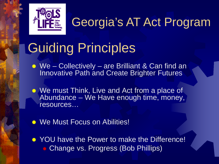

# Guiding Principles

- We Collectively are Brilliant & Can find an Innovative Path and Create Brighter Futures
- We must Think, Live and Act from a place of Abundance – We Have enough time, money, resources…
- **. We Must Focus on Abilities!**
- **★ YOU have the Power to make the Difference! Change vs. Progress (Bob Phillips)**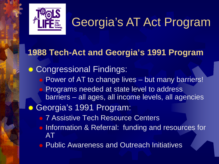

### **1988 Tech-Act and Georgia's 1991 Program**

**. Congressional Findings:** ● Power of AT to change lives – but many barriers! Programs needed at state level to address barriers – all ages, all income levels, all agencies **Georgia's 1991 Program:** • 7 Assistive Tech Resource Centers **Information & Referral: funding and resources for** AT ● Public Awareness and Outreach Initiatives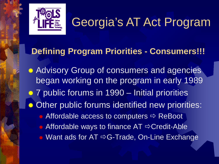

### **Defining Program Priorities - Consumers!!!**

**Advisory Group of consumers and agencies** began working on the program in early 1989 *★ 7 public forums in 1990 – Initial priorities* **\*\*** Other public forums identified new priorities: Affordable access to computers  $\Rightarrow$  ReBoot  $\triangle$  Affordable ways to finance AT  $\Rightarrow$  Credit-Able  $\bullet$  Want ads for AT  $\Rightarrow$  G-Trade, On-Line Exchange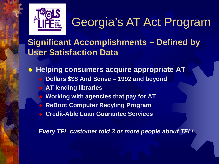

**Significant Accomplishments – Defined by User Satisfaction Data**

 **Helping consumers acquire appropriate AT Dollars \$\$\$ And Sense – 1992 and beyond AT lending libraries Working with agencies that pay for AT ReBoot Computer Recyling Program Credit-Able Loan Guarantee Services**

*Every TFL customer told 3 or more people about TFL!*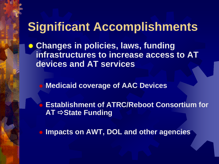## **Significant Accomplishments**

 **Changes in policies, laws, funding infrastructures to increase access to AT devices and AT services**

**Medicaid coverage of AAC Devices**

 **Establishment of ATRC/Reboot Consortium for AT**  $\Rightarrow$  **State Funding** 

**Impacts on AWT, DOL and other agencies**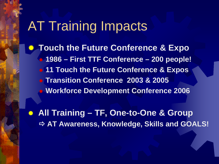## AT Training Impacts

**Touch the Future Conference & Expo 1986 – First TTF Conference – 200 people! 11 Touch the Future Conference & Expos Transition Conference 2003 & 2005 Workforce Development Conference 2006**

 **All Training – TF, One-to-One & Group AT Awareness, Knowledge, Skills and GOALS!**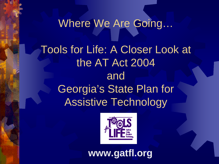# Where We Are Going… Tools for Life: A Closer Look at the AT Act 2004 and Georgia's State Plan for Assistive Technology



**www.gatfl.org**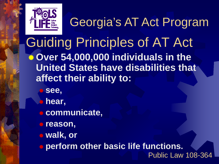

Guiding Principles of AT Act **Over 54,000,000 individuals in the United States have disabilities that affect their ability to:**  Georgia's AT Act Program

- **see,**
- **hear,**
- **communicate,**
- **reason,**
- **walk, or**
- **perform other basic life functions.**
	- Public Law 108-364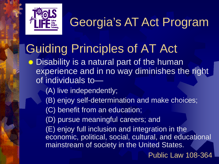

## Guiding Principles of AT Act

**■ Disability is a natural part of the human** experience and in no way diminishes the right of individuals to—

- (A) live independently;
- (B) enjoy self-determination and make choices;

(C) benefit from an education;

(D) pursue meaningful careers; and

(E) enjoy full inclusion and integration in the economic, political, social, cultural, and educational mainstream of society in the United States.

Public Law 108-364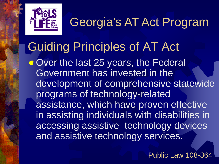

### Guiding Principles of AT Act **Wer the last 25 years, the Federal** Government has invested in the development of comprehensive statewide programs of technology-related assistance, which have proven effective in assisting individuals with disabilities in accessing assistive technology devices and assistive technology services.

Public Law 108-364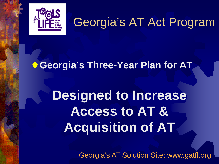

### **Georgia's Three-Year Plan for AT**

# **Designed to Increase Access to AT & Acquisition of AT**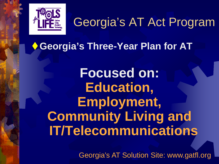

**Georgia's Three-Year Plan for AT**

**Focused on: Education, Employment, Community Living and IT/Telecommunications**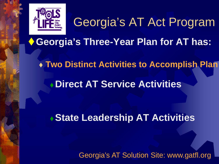

**Georgia's Three-Year Plan for AT has:**

**Two Distinct Activities to Accomplish Plan**

**Direct AT Service Activities** 

**State Leadership AT Activities**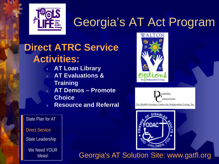

### **Direct ATRC Service Activities:**

- **AT Loan Library**
- **AT Evaluations &**
- **Training**
- **AT Demos – Promote**
- **Choice**
- **Resource and Referral**





State Plan for AT

Direct Service

State Leadership

We Need YOUR Ideas!

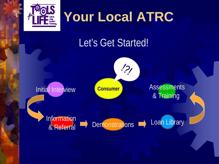

# **Your Local ATRC**

## Let's Get Started!

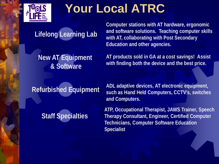

## **Your Local ATRC**

### **Lifelong Learning Lab**

**New AT Equipment & Software**

**Computer stations with AT hardware, ergonomic and software solutions. Teaching computer skills with AT, collaborating with Post Secondary Education and other agencies.**

**AT products sold in GA at a cost savings! Assist with finding both the device and the best price.**

**Refurbished Equipment**

#### **Staff Specialties**

**ADL adaptive devices, AT electronic equipment, such as Hand Held Computers, CCTV's, switches and Computers.**

**ATP, Occupational Therapist, JAWS Trainer, Speech Therapy Consultant, Engineer, Certified Computer Technicians, Computer Software Education Specialist**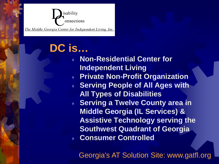

### **DC is…**

 **Non-Residential Center for Independent Living Private Non-Profit Organization Serving People of All Ages with All Types of Disabilities ◆ Serving a Twelve County area in Middle Georgia (IL Services) & Assistive Technology serving the Southwest Quadrant of Georgia Consumer Controlled**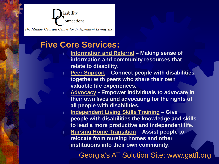

#### **Five Core Services:**

- **Information and Referral – Making sense of information and community resources that relate to disability.**
- **Peer Support – Connect people with disabilities together with peers who share their own valuable life experiences.**
- **Advocacy - Empower individuals to advocate in their own lives and advocating for the rights of all people with disabilities.**
- **Independent Living Skills Training – Give people with disabilities the knowledge and skills to lead a more productive and independent life.**
- **Nursing Home Transition – Assist people to relocate from nursing homes and other institutions into their own community.**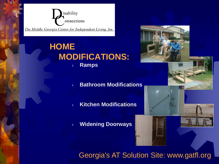

#### **HOME MODIFICATIONS: Ramps**

**Bathroom Modifications**

**Kitchen Modifications**

**Widening Doorways**



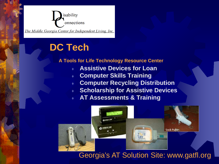

### **DC Tech**

#### **A Tools for Life Technology Resource Center**

- **Assistive Devices for Loan**
- **Computer Skills Training**
- **Computer Recycling Distribution**
- **Scholarship for Assistive Devices**
- **AT Assessments & Training**

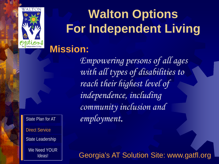

# **Walton Options For Independent Living**

### **Mission:**

Direct Service<br>State Leaders State Plan for AT State Leadership We Need YOUR Ideas!

*Empowering persons of all ages with all types of disabilities to reach their highest level of independence, including community inclusion and employment.*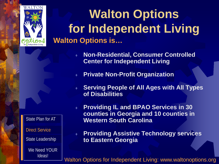

**Walton Options for Independent Living Walton Options is…**

- **Non-Residential, Consumer Controlled Center for Independent Living**
- **Private Non-Profit Organization**
- **Serving People of All Ages with All Types of Disabilities**
- **Providing IL and BPAO Services in 30 counties in Georgia and 10 counties in Western South Carolina**
	- **Providing Assistive Technology services to Eastern Georgia**

Walton Options for Independent Living: www.waltonoptions.org

Direct Service State Plan for AT State Leadership We Need YOUR

Ideas!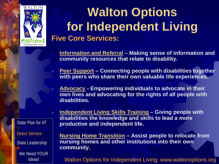

## **Five Core Services: Walton Options for Independent Living**

- **Information and Referral – Making sense of information and community resources that relate to disability.**
- **Peer Support – Connecting people with disabilities together with peers who share their own valuable life experiences.**
- **Advocacy - Empowering individuals to advocate in their own lives and advocating for the rights of all people with disabilities.**

Direct Service State Plan for AT State Leadership We Need YOUR Ideas!

 **Independent Living Skills Training – Giving people with disabilities the knowledge and skills to lead a more productive and independent life.**

 **Nursing Home Transition – Assist people to relocate from nursing homes and other institutions into their own community.**

Walton Options for Independent Living: www.waltonoptions.org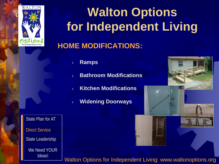

# **Walton Options for Independent Living**

### **HOME MODIFICATIONS:**

- **Ramps**
- **Bathroom Modifications**
- **Kitchen Modifications**
	- **Widening Doorways**

Direct Service State Plan for AT State Leadership We Need YOUR

Ideas!

Walton Options for Independent Living: www.waltonoptions.org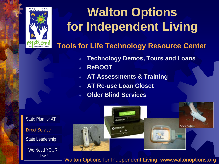

## **Walton Options for Independent Living**

#### **Tools for Life Technology Resource Center**

- **Technology Demos, Tours and Loans**
- **ReBOOT**
- **AT Assessments & Training**
- **AT Re-use Loan Closet**
- **Older Blind Services**



Walton Options for Independent Living: www.waltonoptions.org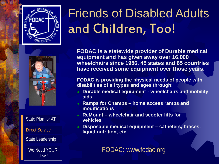



Direct Service State Plan for AT State Leadership We Need YOUR

Ideas!

**FODAC is a statewide provider of Durable medical equipment and has given away over 16,000 wheelchairs since 1986. 45 states and 65 countries have received some equipment over those years.**

**FODAC is providing the physical needs of people with disabilities of all types and ages through:**

- **Durable medical equipment - wheelchairs and mobility aids**
- **Ramps for Champs – home access ramps and modifications**
- **ReMount – wheelchair and scooter lifts for vehicles**
- **Disposable medical equipment – catheters, braces, liquid nutrition, etc.**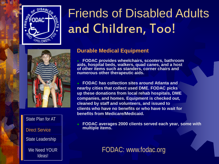



Direct Service State Plan for AT State Leadership We Need YOUR

Ideas!

#### **Durable Medical Equipment**

 **FODAC provides wheelchairs, scooters, bathroom aids, hospital beds, walkers, quad canes, and a host of other items such as standers, corner chairs and numerous other therapeutic aids.**

 **FODAC has collection sites around Atlanta and nearby cities that collect used DME. FODAC picks up these donations from local rehab hospitals, DME companies, and homes. Equipment is checked out, cleaned by staff and volunteers, and issued to clients who have no benefits or who have to wait for benefits from Medicare/Medicaid.**

 **FODAC averages 2000 clients served each year, some with multiple items.**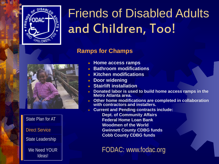

#### **Ramps for Champs**



Direct Service State Plan for AT State Leadership We Need YOUR Ideas!

- **Home access ramps**
- **Bathroom modifications**
- **Kitchen modifications**
- **Door widening**
- **Stairlift installation**
- **Donated labor is used to build home access ramps in the Metro Atlanta area.**
- **Other home modifications are completed in collaboration with contractors and installers.**
- **Current and Pending contracts include:** 
	- **Dept. of Community Affairs Federal Home Loan Bank Woodmen of the World Gwinnett County CDBG funds Cobb County CDBG funds**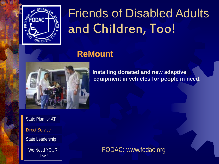

### **ReMount**



 **Installing donated and new adaptive equipment in vehicles for people in need.**

Direct Service State Plan for AT State Leadership We Need YOUR Ideas!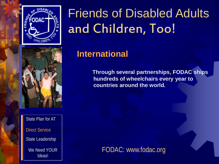



Direct Service State Plan for AT State Leadership We Need YOUR Ideas!

### **International**

 **Through several partnerships, FODAC ships hundreds of wheelchairs every year to countries around the world.**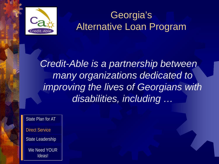

### Georgia's Alternative Loan Program

*Credit-Able is a partnership between many organizations dedicated to improving the lives of Georgians with disabilities, including …*

Direct Service State Plan for AT State Leadership We Need YOUR Ideas!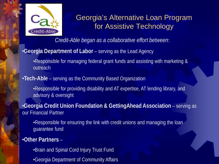

#### Georgia's Alternative Loan Program for Assistive Technology

*Credit-Able began as a collaborative effort between*:

#### •**Georgia Department of Labor** – serving as the Lead Agency

•Responsible for managing federal grant funds and assisting with marketing & outreach

#### •**Tech-Able** – serving as the Community Based Organization

•Responsible for providing disability and AT expertise, AT lending library, and advisory & oversight

•**Georgia Credit Union Foundation & GettingAhead Association** – serving as our Financial Partner

•Responsible for ensuring the link with credit unions and managing the loan guarantee fund

#### •**Other Partners** –

- •Brain and Spinal Cord Injury Trust Fund
- •Georgia Department of Community Affairs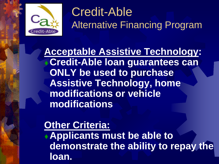

## Credit-Able Alternative Financing Program

**Acceptable Assistive Technology: Credit-Able loan guarantees can ONLY be used to purchase Assistive Technology, home modifications or vehicle modifications**

**Other Criteria: Applicants must be able to demonstrate the ability to repay the loan.**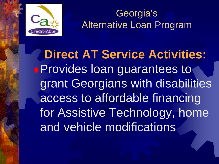

Georgia's Alternative Loan Program

**Direct AT Service Activities:** Provides loan guarantees to grant Georgians with disabilities access to affordable financing for Assistive Technology, home and vehicle modifications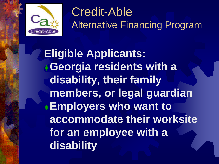

## Credit-Able Alternative Financing Program

**Eligible Applicants: Georgia residents with a disability, their family members, or legal guardian Employers who want to accommodate their worksite for an employee with a disability**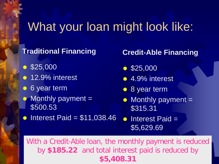## What your loan might look like:

#### **Traditional Financing**

- $$25,000$
- $\textcolor{blue}{\bullet}$  12.9% interest
- **6** year term
- $-Monthly$  payment  $=$ \$500.53
- $\text{Interest}$  Interest Paid = \$11,038.46

#### **Credit-Able Financing**

- $$25,000$
- $\bullet$  **4.9% interest**
- *<del>●</del>8* year term
- $\bullet$  Monthly payment = \$315.31

 $*$  Interest Paid  $=$ \$5,629.69

With a Credit-Able loan, the monthly payment is reduced by **\$185.22** and total interest paid is reduced by **\$5,408.31**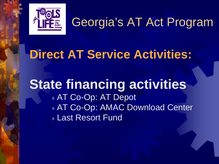

## **Direct AT Service Activities:**

### **State financing activities** AT Co-Op: AT Depot AT Co-Op: AMAC Download Center **Last Resort Fund**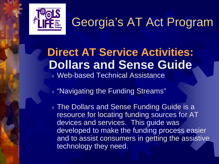

### **Direct AT Service Activities: Dollars and Sense Guide** Web-based Technical Assistance

"Navigating the Funding Streams"

**The Dollars and Sense Funding Guide is a** resource for locating funding sources for AT devices and services. This guide was developed to make the funding process easier and to assist consumers in getting the assistive technology they need.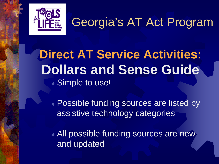

**Direct AT Service Activities: Dollars and Sense Guide** ◆ Simple to use!

 Possible funding sources are listed by assistive technology categories

 All possible funding sources are new and updated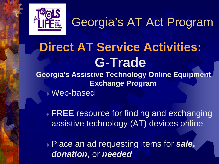

# **Direct AT Service Activities: G-Trade**<br>Georgia's Assistive Technology Online Equipment

**Exchange Program** Web-based

 **FREE** resource for finding and exchanging assistive technology (AT) devices online

 Place an ad requesting items for *sale***,**  *donation***,** or *needed*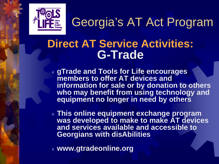

### **Direct AT Service Activities: G-Trade**

- **gTrade and Tools for Life encourages members to offer AT devices and information for sale or by donation to others who may benefit from using technology and equipment no longer in need by others**
- **This online equipment exchange program was developed to make to make AT devices and services available and accessible to Georgians with disAbilities**
- **www.gtradeonline.org**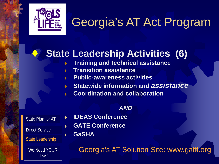

### **State Leadership Activities (6)**

- **Training and technical assistance**
- **Transition assistance**
- **Public-awareness activities**
- **Statewide information and** *assistance*
- **Coordination and collaboration**

#### *AND*

| State Plan for AT       |
|-------------------------|
| <b>Direct Service</b>   |
| <b>State Leadership</b> |
| We Need YOUR<br>Ideas!  |

- **IDEAS Conference**
- **GATE Conference**
- **GaSHA**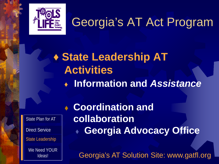

## **♦ State Leadership AT Activities ♦ Information and** *Assistance*

Direct Service State Plan for AT State Leadership We Need YOUR Ideas!

 **Coordination and collaboration Georgia Advocacy Office**